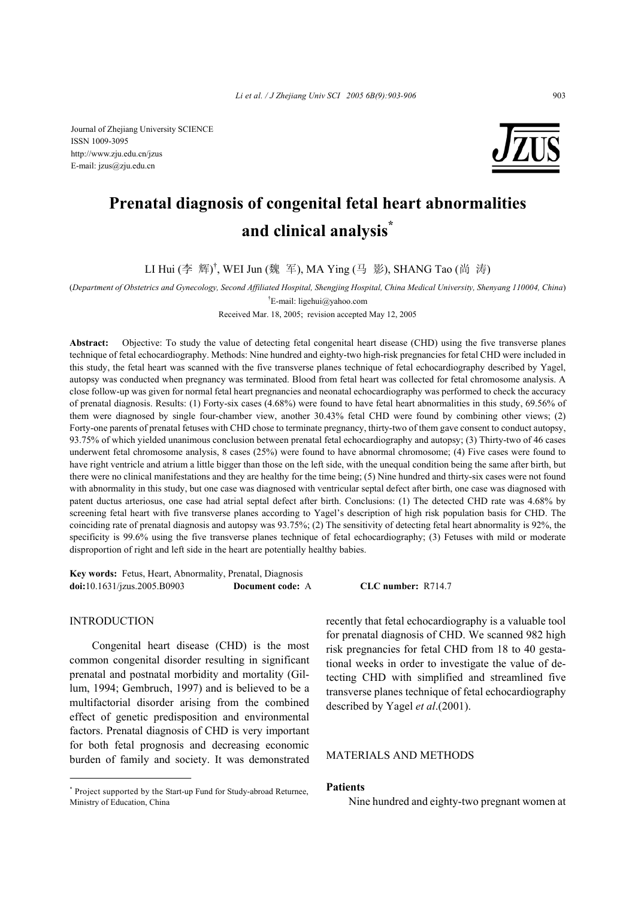Journal of Zhejiang University SCIENCE ISSN 1009-3095 http://www.zju.edu.cn/jzus E-mail: jzus@zju.edu.cn



# **Prenatal diagnosis of congenital fetal heart abnormalities and clinical analysis\***

LI Hui (李 辉)<sup>†</sup>, WEI Jun (魏 军), MA Ying (马 影), SHANG Tao (尚 涛)

(*Department of Obstetrics and Gynecology, Second Affiliated Hospital, Shengjing Hospital, China Medical University, Shenyang 110004, China*)

† E-mail: ligehui@yahoo.com

Received Mar. 18, 2005; revision accepted May 12, 2005

**Abstract:** Objective: To study the value of detecting fetal congenital heart disease (CHD) using the five transverse planes technique of fetal echocardiography. Methods: Nine hundred and eighty-two high-risk pregnancies for fetal CHD were included in this study, the fetal heart was scanned with the five transverse planes technique of fetal echocardiography described by Yagel, autopsy was conducted when pregnancy was terminated. Blood from fetal heart was collected for fetal chromosome analysis. A close follow-up was given for normal fetal heart pregnancies and neonatal echocardiography was performed to check the accuracy of prenatal diagnosis. Results: (1) Forty-six cases (4.68%) were found to have fetal heart abnormalities in this study, 69.56% of them were diagnosed by single four-chamber view, another 30.43% fetal CHD were found by combining other views; (2) Forty-one parents of prenatal fetuses with CHD chose to terminate pregnancy, thirty-two of them gave consent to conduct autopsy, 93.75% of which yielded unanimous conclusion between prenatal fetal echocardiography and autopsy; (3) Thirty-two of 46 cases underwent fetal chromosome analysis, 8 cases (25%) were found to have abnormal chromosome; (4) Five cases were found to have right ventricle and atrium a little bigger than those on the left side, with the unequal condition being the same after birth, but there were no clinical manifestations and they are healthy for the time being; (5) Nine hundred and thirty-six cases were not found with abnormality in this study, but one case was diagnosed with ventricular septal defect after birth, one case was diagnosed with patent ductus arteriosus, one case had atrial septal defect after birth. Conclusions: (1) The detected CHD rate was 4.68% by screening fetal heart with five transverse planes according to Yagel's description of high risk population basis for CHD. The coinciding rate of prenatal diagnosis and autopsy was 93.75%; (2) The sensitivity of detecting fetal heart abnormality is 92%, the specificity is 99.6% using the five transverse planes technique of fetal echocardiography; (3) Fetuses with mild or moderate disproportion of right and left side in the heart are potentially healthy babies.

**Key words:** Fetus, Heart, Abnormality, Prenatal, Diagnosis **doi:**10.1631/jzus.2005.B0903 **Document code:** A **CLC number:** R714.7

#### INTRODUCTION

Congenital heart disease (CHD) is the most common congenital disorder resulting in significant prenatal and postnatal morbidity and mortality (Gillum, 1994; Gembruch, 1997) and is believed to be a multifactorial disorder arising from the combined effect of genetic predisposition and environmental factors. Prenatal diagnosis of CHD is very important for both fetal prognosis and decreasing economic burden of family and society. It was demonstrated recently that fetal echocardiography is a valuable tool for prenatal diagnosis of CHD. We scanned 982 high risk pregnancies for fetal CHD from 18 to 40 gestational weeks in order to investigate the value of detecting CHD with simplified and streamlined five transverse planes technique of fetal echocardiography described by Yagel *et al*.(2001).

## MATERIALS AND METHODS

### **Patients**

Nine hundred and eighty-two pregnant women at

<sup>\*</sup> Project supported by the Start-up Fund for Study-abroad Returnee, Ministry of Education, China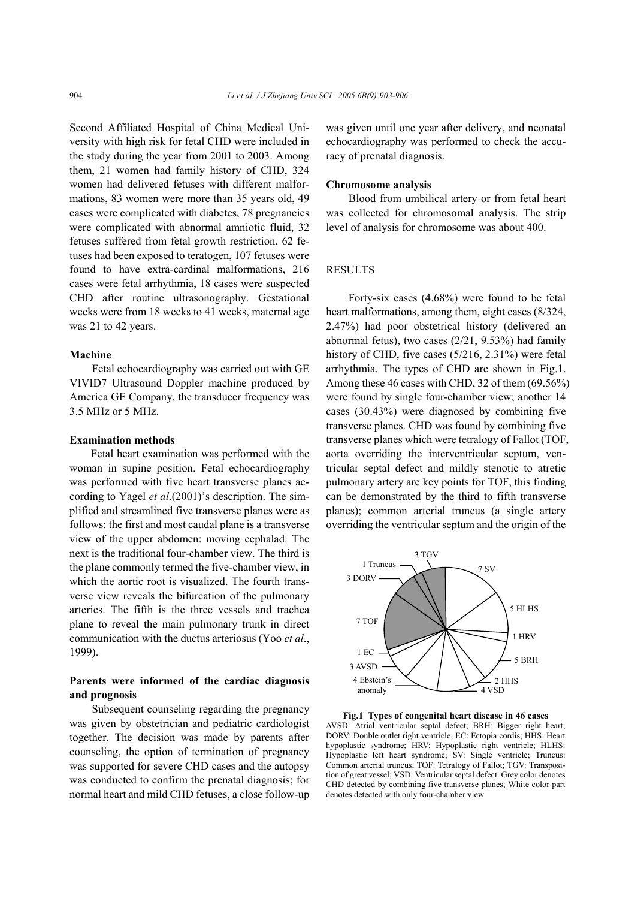Second Affiliated Hospital of China Medical University with high risk for fetal CHD were included in the study during the year from 2001 to 2003. Among them, 21 women had family history of CHD, 324 women had delivered fetuses with different malformations, 83 women were more than 35 years old, 49 cases were complicated with diabetes, 78 pregnancies were complicated with abnormal amniotic fluid, 32 fetuses suffered from fetal growth restriction, 62 fetuses had been exposed to teratogen, 107 fetuses were found to have extra-cardinal malformations, 216 cases were fetal arrhythmia, 18 cases were suspected CHD after routine ultrasonography. Gestational weeks were from 18 weeks to 41 weeks, maternal age was 21 to 42 years.

### **Machine**

Fetal echocardiography was carried out with GE VIVID7 Ultrasound Doppler machine produced by America GE Company, the transducer frequency was 3.5 MHz or 5 MHz.

#### **Examination methods**

Fetal heart examination was performed with the woman in supine position. Fetal echocardiography was performed with five heart transverse planes according to Yagel *et al*.(2001)'s description. The simplified and streamlined five transverse planes were as follows: the first and most caudal plane is a transverse view of the upper abdomen: moving cephalad. The next is the traditional four-chamber view. The third is the plane commonly termed the five-chamber view, in which the aortic root is visualized. The fourth transverse view reveals the bifurcation of the pulmonary arteries. The fifth is the three vessels and trachea plane to reveal the main pulmonary trunk in direct communication with the ductus arteriosus (Yoo *et al*., 1999).

## **Parents were informed of the cardiac diagnosis and prognosis**

Subsequent counseling regarding the pregnancy was given by obstetrician and pediatric cardiologist together. The decision was made by parents after counseling, the option of termination of pregnancy was supported for severe CHD cases and the autopsy was conducted to confirm the prenatal diagnosis; for normal heart and mild CHD fetuses, a close follow-up

was given until one year after delivery, and neonatal echocardiography was performed to check the accuracy of prenatal diagnosis.

#### **Chromosome analysis**

Blood from umbilical artery or from fetal heart was collected for chromosomal analysis. The strip level of analysis for chromosome was about 400.

### **RESULTS**

Forty-six cases (4.68%) were found to be fetal heart malformations, among them, eight cases (8/324, 2.47%) had poor obstetrical history (delivered an abnormal fetus), two cases (2/21, 9.53%) had family history of CHD, five cases (5/216, 2.31%) were fetal arrhythmia. The types of CHD are shown in Fig.1. Among these 46 cases with CHD, 32 of them (69.56%) were found by single four-chamber view; another 14 cases (30.43%) were diagnosed by combining five transverse planes. CHD was found by combining five transverse planes which were tetralogy of Fallot (TOF, aorta overriding the interventricular septum, ventricular septal defect and mildly stenotic to atretic pulmonary artery are key points for TOF, this finding can be demonstrated by the third to fifth transverse planes); common arterial truncus (a single artery overriding the ventricular septum and the origin of the



**Fig.1 Types of congenital heart disease in 46 cases**  AVSD: Atrial ventricular septal defect; BRH: Bigger right heart; DORV: Double outlet right ventricle; EC: Ectopia cordis; HHS: Heart hypoplastic syndrome; HRV: Hypoplastic right ventricle; HLHS: Hypoplastic left heart syndrome; SV: Single ventricle; Truncus: Common arterial truncus; TOF: Tetralogy of Fallot; TGV: Transposition of great vessel; VSD: Ventricular septal defect. Grey color denotes CHD detected by combining five transverse planes; White color part denotes detected with only four-chamber view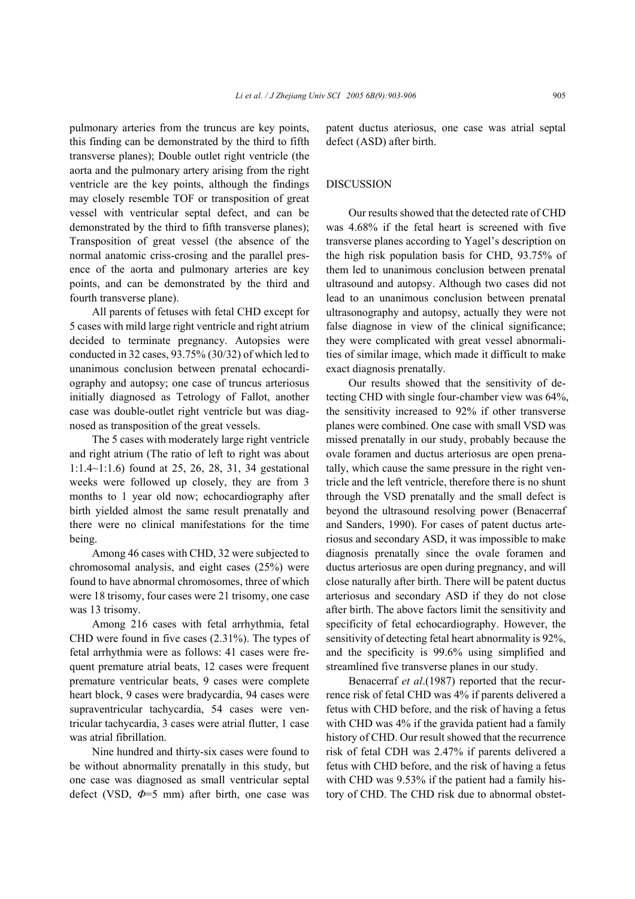pulmonary arteries from the truncus are key points, this finding can be demonstrated by the third to fifth transverse planes); Double outlet right ventricle (the aorta and the pulmonary artery arising from the right ventricle are the key points, although the findings may closely resemble TOF or transposition of great vessel with ventricular septal defect, and can be demonstrated by the third to fifth transverse planes); Transposition of great vessel (the absence of the normal anatomic criss-crosing and the parallel presence of the aorta and pulmonary arteries are key points, and can be demonstrated by the third and fourth transverse plane).

All parents of fetuses with fetal CHD except for 5 cases with mild large right ventricle and right atrium decided to terminate pregnancy. Autopsies were conducted in 32 cases, 93.75% (30/32) of which led to unanimous conclusion between prenatal echocardiography and autopsy; one case of truncus arteriosus initially diagnosed as Tetrology of Fallot, another case was double-outlet right ventricle but was diagnosed as transposition of the great vessels.

The 5 cases with moderately large right ventricle and right atrium (The ratio of left to right was about 1:1.4~1:1.6) found at 25, 26, 28, 31, 34 gestational weeks were followed up closely, they are from 3 months to 1 year old now; echocardiography after birth yielded almost the same result prenatally and there were no clinical manifestations for the time being.

Among 46 cases with CHD, 32 were subjected to chromosomal analysis, and eight cases (25%) were found to have abnormal chromosomes, three of which were 18 trisomy, four cases were 21 trisomy, one case was 13 trisomy.

Among 216 cases with fetal arrhythmia, fetal CHD were found in five cases (2.31%). The types of fetal arrhythmia were as follows: 41 cases were frequent premature atrial beats, 12 cases were frequent premature ventricular beats, 9 cases were complete heart block, 9 cases were bradycardia, 94 cases were supraventricular tachycardia, 54 cases were ventricular tachycardia, 3 cases were atrial flutter, 1 case was atrial fibrillation.

Nine hundred and thirty-six cases were found to be without abnormality prenatally in this study, but one case was diagnosed as small ventricular septal defect (VSD, *Φ*=5 mm) after birth, one case was patent ductus ateriosus, one case was atrial septal defect (ASD) after birth.

#### DISCUSSION

Our results showed that the detected rate of CHD was 4.68% if the fetal heart is screened with five transverse planes according to Yagel's description on the high risk population basis for CHD, 93.75% of them led to unanimous conclusion between prenatal ultrasound and autopsy. Although two cases did not lead to an unanimous conclusion between prenatal ultrasonography and autopsy, actually they were not false diagnose in view of the clinical significance; they were complicated with great vessel abnormalities of similar image, which made it difficult to make exact diagnosis prenatally.

Our results showed that the sensitivity of detecting CHD with single four-chamber view was 64%, the sensitivity increased to 92% if other transverse planes were combined. One case with small VSD was missed prenatally in our study, probably because the ovale foramen and ductus arteriosus are open prenatally, which cause the same pressure in the right ventricle and the left ventricle, therefore there is no shunt through the VSD prenatally and the small defect is beyond the ultrasound resolving power (Benacerraf and Sanders, 1990). For cases of patent ductus arteriosus and secondary ASD, it was impossible to make diagnosis prenatally since the ovale foramen and ductus arteriosus are open during pregnancy, and will close naturally after birth. There will be patent ductus arteriosus and secondary ASD if they do not close after birth. The above factors limit the sensitivity and specificity of fetal echocardiography. However, the sensitivity of detecting fetal heart abnormality is 92%, and the specificity is 99.6% using simplified and streamlined five transverse planes in our study.

Benacerraf *et al*.(1987) reported that the recurrence risk of fetal CHD was 4% if parents delivered a fetus with CHD before, and the risk of having a fetus with CHD was 4% if the gravida patient had a family history of CHD. Our result showed that the recurrence risk of fetal CDH was 2.47% if parents delivered a fetus with CHD before, and the risk of having a fetus with CHD was 9.53% if the patient had a family history of CHD. The CHD risk due to abnormal obstet